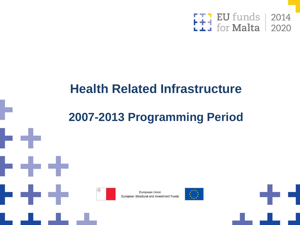

### **Health Related Infrastructure**

### **2007-2013 Programming Period**



European Union European Structural and Investment Funds



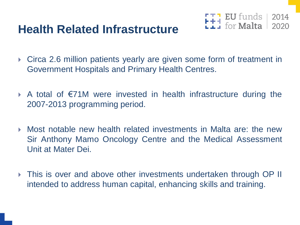### **Health Related Infrastructure**



- Circa 2.6 million patients yearly are given some form of treatment in Government Hospitals and Primary Health Centres.
- A total of €71M were invested in health infrastructure during the 2007-2013 programming period.
- Most notable new health related investments in Malta are: the new Sir Anthony Mamo Oncology Centre and the Medical Assessment Unit at Mater Dei.
- This is over and above other investments undertaken through OP II intended to address human capital, enhancing skills and training.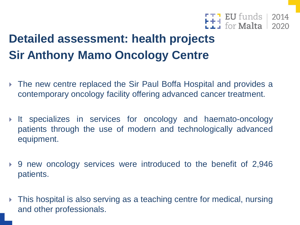

### **Detailed assessment: health projects Sir Anthony Mamo Oncology Centre**

- ▶ The new centre replaced the Sir Paul Boffa Hospital and provides a contemporary oncology facility offering advanced cancer treatment.
- It specializes in services for oncology and haemato-oncology patients through the use of modern and technologically advanced equipment.
- 9 new oncology services were introduced to the benefit of 2,946 patients.
- ▶ This hospital is also serving as a teaching centre for medical, nursing and other professionals.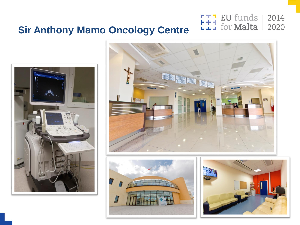

### **Sir Anthony Mamo Oncology Centre**







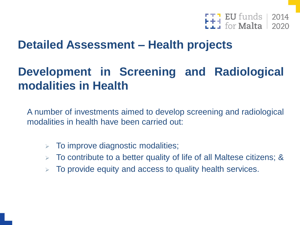

### **Detailed Assessment – Health projects**

### **Development in Screening and Radiological modalities in Health**

A number of investments aimed to develop screening and radiological modalities in health have been carried out:

- $\triangleright$  To improve diagnostic modalities;
- $\triangleright$  To contribute to a better quality of life of all Maltese citizens; &
- $\triangleright$  To provide equity and access to quality health services.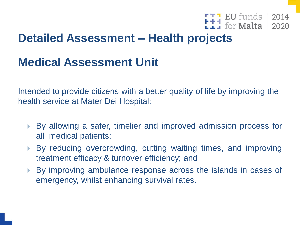### F<sub>1</sub> EU funds | 2014<br> **E1** for **Malta** | 2020

### **Detailed Assessment – Health projects**

### **Medical Assessment Unit**

Intended to provide citizens with a better quality of life by improving the health service at Mater Dei Hospital:

- By allowing a safer, timelier and improved admission process for all medical patients;
- By reducing overcrowding, cutting waiting times, and improving treatment efficacy & turnover efficiency; and
- By improving ambulance response across the islands in cases of emergency, whilst enhancing survival rates.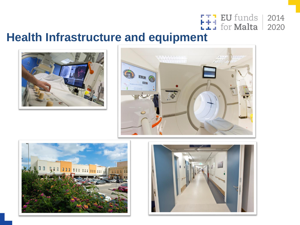

# **Health Infrastructure and equipment**







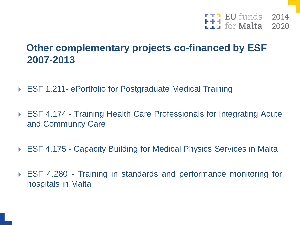

#### **Other complementary projects co-financed by ESF 2007-2013**

- ▶ ESF 1.211- ePortfolio for Postgraduate Medical Training
- ▶ ESF 4.174 Training Health Care Professionals for Integrating Acute and Community Care
- ▶ ESF 4.175 Capacity Building for Medical Physics Services in Malta
- ESF 4.280 Training in standards and performance monitoring for hospitals in Malta